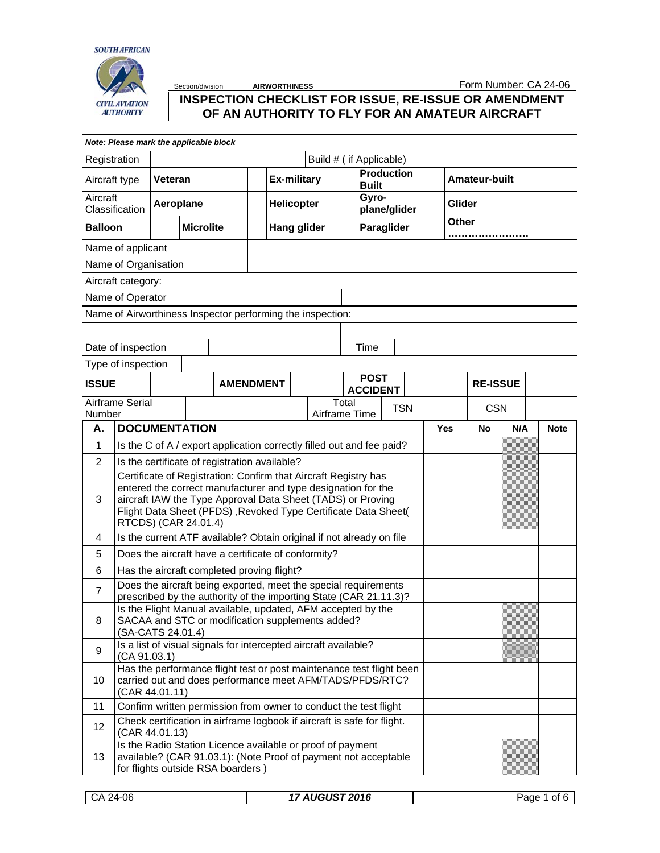



Section/division **AIRWORTHINESS Form Number: CA 24-06** 

## **INSPECTION CHECKLIST FOR ISSUE, RE-ISSUE OR AMENDMENT OF AN AUTHORITY TO FLY FOR AN AMATEUR AIRCRAFT**

| Note: Please mark the applicable block   |                                                                                                                                                                                                                                                                                           |                                                                            |                   |                                                                                                                                                                    |                                   |  |                      |             |  |     |                 |     |             |
|------------------------------------------|-------------------------------------------------------------------------------------------------------------------------------------------------------------------------------------------------------------------------------------------------------------------------------------------|----------------------------------------------------------------------------|-------------------|--------------------------------------------------------------------------------------------------------------------------------------------------------------------|-----------------------------------|--|----------------------|-------------|--|-----|-----------------|-----|-------------|
| Registration<br>Build # ( if Applicable) |                                                                                                                                                                                                                                                                                           |                                                                            |                   |                                                                                                                                                                    |                                   |  |                      |             |  |     |                 |     |             |
| Aircraft type<br>Veteran                 |                                                                                                                                                                                                                                                                                           | <b>Ex-military</b>                                                         |                   |                                                                                                                                                                    | <b>Production</b><br><b>Built</b> |  | <b>Amateur-built</b> |             |  |     |                 |     |             |
| Aircraft<br>Aeroplane<br>Classification  |                                                                                                                                                                                                                                                                                           |                                                                            | <b>Helicopter</b> |                                                                                                                                                                    | Gyro-<br>plane/glider             |  | Glider               |             |  |     |                 |     |             |
| <b>Microlite</b><br><b>Balloon</b>       |                                                                                                                                                                                                                                                                                           |                                                                            |                   | <b>Hang glider</b>                                                                                                                                                 |                                   |  | Paraglider           | Other       |  |     |                 |     |             |
|                                          | Name of applicant                                                                                                                                                                                                                                                                         |                                                                            |                   |                                                                                                                                                                    |                                   |  |                      |             |  |     |                 |     |             |
|                                          | Name of Organisation                                                                                                                                                                                                                                                                      |                                                                            |                   |                                                                                                                                                                    |                                   |  |                      |             |  |     |                 |     |             |
|                                          | Aircraft category:                                                                                                                                                                                                                                                                        |                                                                            |                   |                                                                                                                                                                    |                                   |  |                      |             |  |     |                 |     |             |
|                                          | Name of Operator                                                                                                                                                                                                                                                                          |                                                                            |                   |                                                                                                                                                                    |                                   |  |                      |             |  |     |                 |     |             |
|                                          |                                                                                                                                                                                                                                                                                           |                                                                            |                   | Name of Airworthiness Inspector performing the inspection:                                                                                                         |                                   |  |                      |             |  |     |                 |     |             |
|                                          |                                                                                                                                                                                                                                                                                           |                                                                            |                   |                                                                                                                                                                    |                                   |  |                      |             |  |     |                 |     |             |
|                                          | Date of inspection                                                                                                                                                                                                                                                                        |                                                                            |                   |                                                                                                                                                                    |                                   |  |                      | Time        |  |     |                 |     |             |
|                                          | Type of inspection                                                                                                                                                                                                                                                                        |                                                                            |                   |                                                                                                                                                                    |                                   |  |                      |             |  |     |                 |     |             |
| <b>ISSUE</b>                             |                                                                                                                                                                                                                                                                                           |                                                                            |                   | <b>AMENDMENT</b>                                                                                                                                                   |                                   |  |                      | <b>POST</b> |  |     | <b>RE-ISSUE</b> |     |             |
| Number                                   |                                                                                                                                                                                                                                                                                           | <b>ACCIDENT</b><br>Airframe Serial<br>Total<br><b>TSN</b><br>Airframe Time |                   |                                                                                                                                                                    |                                   |  | <b>CSN</b>           |             |  |     |                 |     |             |
| Α.                                       | <b>DOCUMENTATION</b>                                                                                                                                                                                                                                                                      |                                                                            |                   |                                                                                                                                                                    |                                   |  |                      |             |  | Yes | No              | N/A | <b>Note</b> |
| 1                                        | Is the C of A / export application correctly filled out and fee paid?                                                                                                                                                                                                                     |                                                                            |                   |                                                                                                                                                                    |                                   |  |                      |             |  |     |                 |     |             |
| $\overline{2}$                           |                                                                                                                                                                                                                                                                                           | Is the certificate of registration available?                              |                   |                                                                                                                                                                    |                                   |  |                      |             |  |     |                 |     |             |
| 3                                        | Certificate of Registration: Confirm that Aircraft Registry has<br>entered the correct manufacturer and type designation for the<br>aircraft IAW the Type Approval Data Sheet (TADS) or Proving<br>Flight Data Sheet (PFDS), Revoked Type Certificate Data Sheet(<br>RTCDS) (CAR 24.01.4) |                                                                            |                   |                                                                                                                                                                    |                                   |  |                      |             |  |     |                 |     |             |
| 4                                        |                                                                                                                                                                                                                                                                                           |                                                                            |                   | Is the current ATF available? Obtain original if not already on file                                                                                               |                                   |  |                      |             |  |     |                 |     |             |
| 5                                        |                                                                                                                                                                                                                                                                                           |                                                                            |                   | Does the aircraft have a certificate of conformity?                                                                                                                |                                   |  |                      |             |  |     |                 |     |             |
| 6                                        |                                                                                                                                                                                                                                                                                           |                                                                            |                   | Has the aircraft completed proving flight?                                                                                                                         |                                   |  |                      |             |  |     |                 |     |             |
| $\overline{7}$                           |                                                                                                                                                                                                                                                                                           |                                                                            |                   | Does the aircraft being exported, meet the special requirements                                                                                                    |                                   |  |                      |             |  |     |                 |     |             |
| 8                                        | prescribed by the authority of the importing State (CAR 21.11.3)?<br>Is the Flight Manual available, updated, AFM accepted by the<br>SACAA and STC or modification supplements added?<br>(SA-CATS 24.01.4)                                                                                |                                                                            |                   |                                                                                                                                                                    |                                   |  |                      |             |  |     |                 |     |             |
| 9                                        | Is a list of visual signals for intercepted aircraft available?<br>(CA 91.03.1)                                                                                                                                                                                                           |                                                                            |                   |                                                                                                                                                                    |                                   |  |                      |             |  |     |                 |     |             |
| 10                                       | Has the performance flight test or post maintenance test flight been<br>carried out and does performance meet AFM/TADS/PFDS/RTC?<br>(CAR 44.01.11)                                                                                                                                        |                                                                            |                   |                                                                                                                                                                    |                                   |  |                      |             |  |     |                 |     |             |
| 11                                       |                                                                                                                                                                                                                                                                                           |                                                                            |                   | Confirm written permission from owner to conduct the test flight                                                                                                   |                                   |  |                      |             |  |     |                 |     |             |
| 12                                       | (CAR 44.01.13)                                                                                                                                                                                                                                                                            |                                                                            |                   | Check certification in airframe logbook if aircraft is safe for flight.                                                                                            |                                   |  |                      |             |  |     |                 |     |             |
| 13                                       |                                                                                                                                                                                                                                                                                           |                                                                            |                   | Is the Radio Station Licence available or proof of payment<br>available? (CAR 91.03.1): (Note Proof of payment not acceptable<br>for flights outside RSA boarders) |                                   |  |                      |             |  |     |                 |     |             |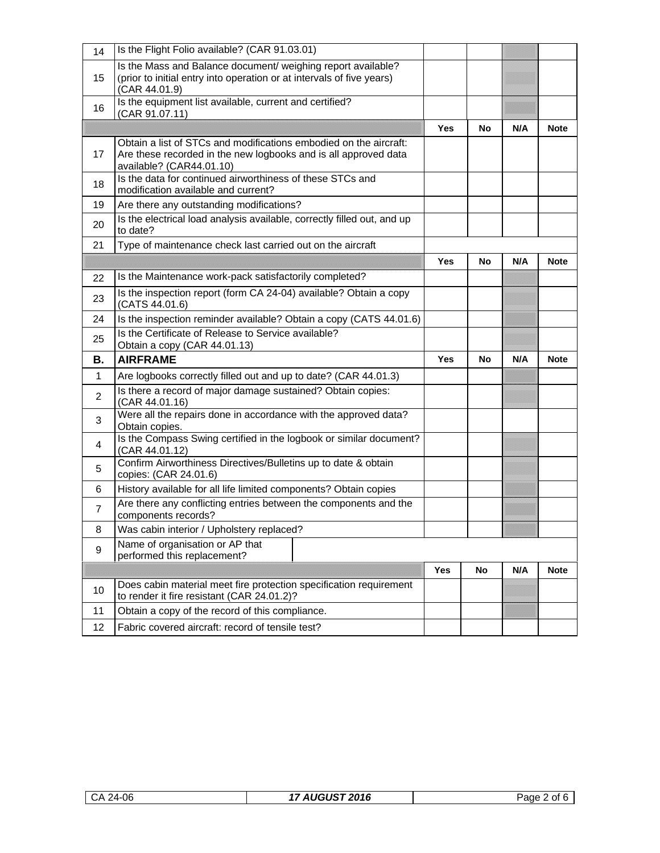| 14             | Is the Flight Folio available? (CAR 91.03.01)                                                                                                                    |            |    |     |             |
|----------------|------------------------------------------------------------------------------------------------------------------------------------------------------------------|------------|----|-----|-------------|
| 15             | Is the Mass and Balance document/ weighing report available?<br>(prior to initial entry into operation or at intervals of five years)<br>(CAR 44.01.9)           |            |    |     |             |
| 16             | Is the equipment list available, current and certified?<br>(CAR 91.07.11)                                                                                        |            |    |     |             |
|                |                                                                                                                                                                  | <b>Yes</b> | No | N/A | <b>Note</b> |
| 17             | Obtain a list of STCs and modifications embodied on the aircraft:<br>Are these recorded in the new logbooks and is all approved data<br>available? (CAR44.01.10) |            |    |     |             |
| 18             | Is the data for continued airworthiness of these STCs and<br>modification available and current?                                                                 |            |    |     |             |
| 19             | Are there any outstanding modifications?                                                                                                                         |            |    |     |             |
| 20             | Is the electrical load analysis available, correctly filled out, and up<br>to date?                                                                              |            |    |     |             |
| 21             | Type of maintenance check last carried out on the aircraft                                                                                                       |            |    |     |             |
|                |                                                                                                                                                                  | <b>Yes</b> | No | N/A | <b>Note</b> |
| 22             | Is the Maintenance work-pack satisfactorily completed?                                                                                                           |            |    |     |             |
| 23             | Is the inspection report (form CA 24-04) available? Obtain a copy<br>(CATS 44.01.6)                                                                              |            |    |     |             |
| 24             | Is the inspection reminder available? Obtain a copy (CATS 44.01.6)                                                                                               |            |    |     |             |
| 25             | Is the Certificate of Release to Service available?<br>Obtain a copy (CAR 44.01.13)                                                                              |            |    |     |             |
| В.             | <b>AIRFRAME</b>                                                                                                                                                  | <b>Yes</b> | No | N/A | <b>Note</b> |
| $\mathbf{1}$   | Are logbooks correctly filled out and up to date? (CAR 44.01.3)                                                                                                  |            |    |     |             |
| 2              | Is there a record of major damage sustained? Obtain copies:<br>(CAR 44.01.16)                                                                                    |            |    |     |             |
| 3              | Were all the repairs done in accordance with the approved data?<br>Obtain copies.                                                                                |            |    |     |             |
| 4              | Is the Compass Swing certified in the logbook or similar document?<br>(CAR 44.01.12)                                                                             |            |    |     |             |
|                |                                                                                                                                                                  |            |    |     |             |
| 5              | Confirm Airworthiness Directives/Bulletins up to date & obtain<br>copies: (CAR 24.01.6)                                                                          |            |    |     |             |
| 6              | History available for all life limited components? Obtain copies                                                                                                 |            |    |     |             |
| $\overline{7}$ | Are there any conflicting entries between the components and the<br>components records?                                                                          |            |    |     |             |
| 8              | Was cabin interior / Upholstery replaced?                                                                                                                        |            |    |     |             |
| 9              | Name of organisation or AP that<br>performed this replacement?                                                                                                   |            |    |     |             |
|                |                                                                                                                                                                  | <b>Yes</b> | No | N/A | <b>Note</b> |
| 10             | Does cabin material meet fire protection specification requirement<br>to render it fire resistant (CAR 24.01.2)?                                                 |            |    |     |             |
| 11             | Obtain a copy of the record of this compliance.                                                                                                                  |            |    |     |             |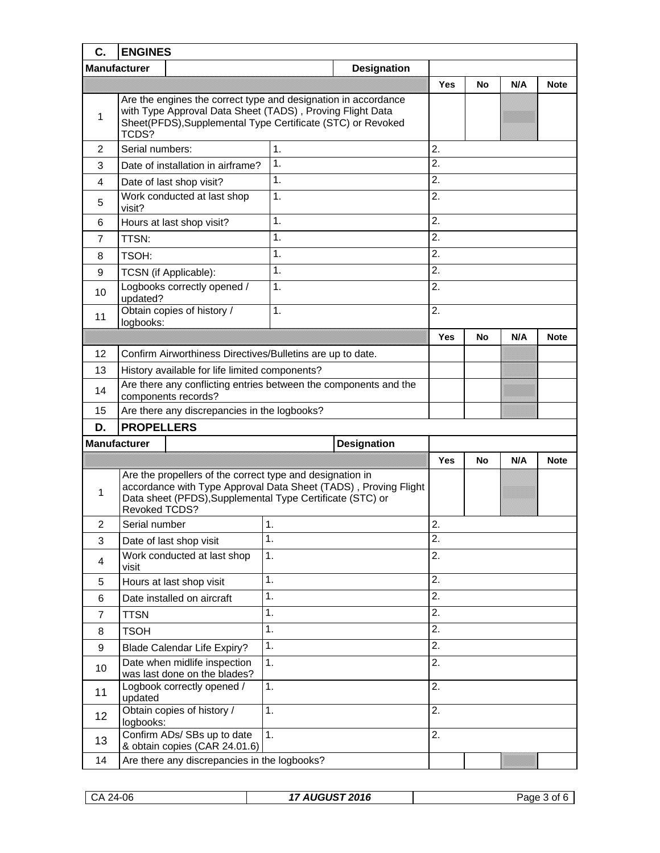| C.             | <b>ENGINES</b>                                                                                                                                                                                      |                                                                 |                  |     |             |             |  |
|----------------|-----------------------------------------------------------------------------------------------------------------------------------------------------------------------------------------------------|-----------------------------------------------------------------|------------------|-----|-------------|-------------|--|
|                | <b>Manufacturer</b>                                                                                                                                                                                 |                                                                 |                  |     |             |             |  |
|                |                                                                                                                                                                                                     | <b>Yes</b>                                                      | No               | N/A | <b>Note</b> |             |  |
| 1              | Are the engines the correct type and designation in accordance<br>with Type Approval Data Sheet (TADS), Proving Flight Data<br>Sheet(PFDS), Supplemental Type Certificate (STC) or Revoked<br>TCDS? |                                                                 |                  |     |             |             |  |
| 2              | Serial numbers:                                                                                                                                                                                     | 1.                                                              | 2.               |     |             |             |  |
| 3              | Date of installation in airframe?                                                                                                                                                                   | 1.                                                              | 2.               |     |             |             |  |
| 4              | Date of last shop visit?                                                                                                                                                                            | 1.                                                              | 2.               |     |             |             |  |
| 5              | Work conducted at last shop<br>visit?                                                                                                                                                               | 1.                                                              | 2.               |     |             |             |  |
| 6              | Hours at last shop visit?                                                                                                                                                                           | 1.                                                              | 2.               |     |             |             |  |
| 7              | TTSN:                                                                                                                                                                                               | 1.                                                              | 2.               |     |             |             |  |
| 8              | TSOH:                                                                                                                                                                                               | 1.                                                              | 2.               |     |             |             |  |
| 9              | TCSN (if Applicable):                                                                                                                                                                               | 1.                                                              | 2.               |     |             |             |  |
| 10             | Logbooks correctly opened /<br>updated?                                                                                                                                                             | 1.                                                              | 2.               |     |             |             |  |
| 11             | Obtain copies of history /<br>logbooks:                                                                                                                                                             | 1.                                                              | 2.               |     |             |             |  |
|                |                                                                                                                                                                                                     |                                                                 | <b>Yes</b>       | No  | N/A         | <b>Note</b> |  |
| 12             | Confirm Airworthiness Directives/Bulletins are up to date.                                                                                                                                          |                                                                 |                  |     |             |             |  |
| 13             | History available for life limited components?                                                                                                                                                      |                                                                 |                  |     |             |             |  |
| 14             | Are there any conflicting entries between the components and the<br>components records?                                                                                                             |                                                                 |                  |     |             |             |  |
| 15             | Are there any discrepancies in the logbooks?                                                                                                                                                        |                                                                 |                  |     |             |             |  |
| D.             | <b>PROPELLERS</b>                                                                                                                                                                                   |                                                                 |                  |     |             |             |  |
|                | <b>Manufacturer</b><br><b>Designation</b>                                                                                                                                                           |                                                                 |                  |     |             |             |  |
|                |                                                                                                                                                                                                     |                                                                 | Yes              | No  | N/A         | <b>Note</b> |  |
| 1              | Are the propellers of the correct type and designation in<br>Data sheet (PFDS), Supplemental Type Certificate (STC) or<br>Revoked TCDS?                                                             | accordance with Type Approval Data Sheet (TADS), Proving Flight |                  |     |             |             |  |
| 2              | Serial number                                                                                                                                                                                       | 1.                                                              | $\mathcal{P}$    |     |             |             |  |
| 3              | Date of last shop visit                                                                                                                                                                             | 1.                                                              | $\overline{2}$ . |     |             |             |  |
| 4              | Work conducted at last shop<br>visit                                                                                                                                                                | 2.                                                              |                  |     |             |             |  |
| 5              | Hours at last shop visit                                                                                                                                                                            | 1.                                                              | 2.               |     |             |             |  |
| 6              | Date installed on aircraft                                                                                                                                                                          | 1.                                                              | 2.               |     |             |             |  |
| $\overline{7}$ | <b>TTSN</b>                                                                                                                                                                                         | 2.                                                              |                  |     |             |             |  |
| 8              | <b>TSOH</b>                                                                                                                                                                                         | 2.                                                              |                  |     |             |             |  |
| 9              | <b>Blade Calendar Life Expiry?</b>                                                                                                                                                                  | 1.                                                              | 2.               |     |             |             |  |
| 10             | Date when midlife inspection<br>was last done on the blades?                                                                                                                                        | 1.                                                              | 2.               |     |             |             |  |
| 11             | Logbook correctly opened /<br>updated                                                                                                                                                               | 1.                                                              | 2.               |     |             |             |  |
| 12             | Obtain copies of history /<br>logbooks:                                                                                                                                                             | 1.                                                              | 2.               |     |             |             |  |
| 13             | Confirm ADs/ SBs up to date<br>& obtain copies (CAR 24.01.6)                                                                                                                                        | 1.                                                              | 2.               |     |             |             |  |
| 14             | Are there any discrepancies in the logbooks?                                                                                                                                                        |                                                                 |                  |     |             |             |  |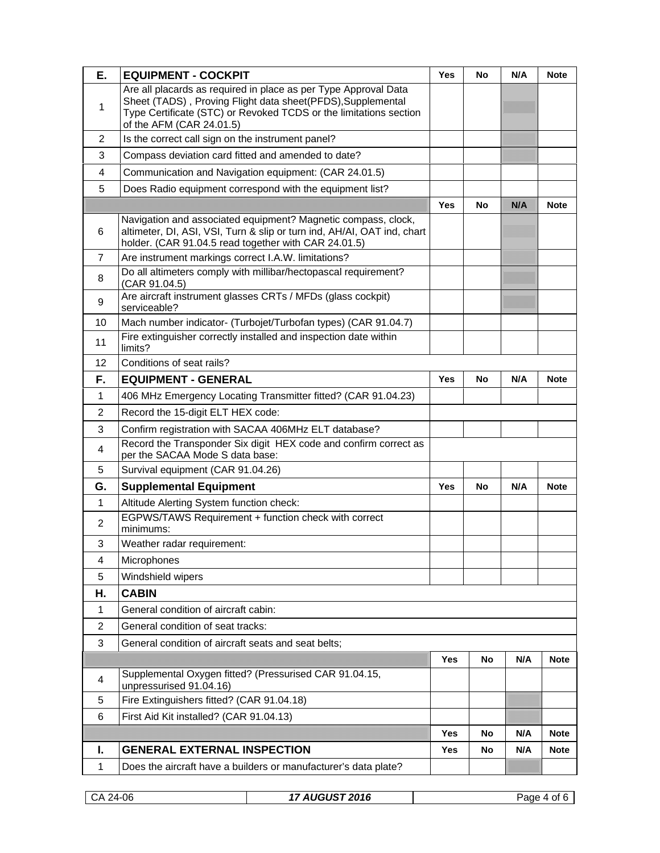| Е.             | <b>EQUIPMENT - COCKPIT</b>                                                                                                                                                                                                      | <b>Yes</b> | No | N/A | <b>Note</b> |
|----------------|---------------------------------------------------------------------------------------------------------------------------------------------------------------------------------------------------------------------------------|------------|----|-----|-------------|
| 1              | Are all placards as required in place as per Type Approval Data<br>Sheet (TADS), Proving Flight data sheet(PFDS), Supplemental<br>Type Certificate (STC) or Revoked TCDS or the limitations section<br>of the AFM (CAR 24.01.5) |            |    |     |             |
| 2              | Is the correct call sign on the instrument panel?                                                                                                                                                                               |            |    |     |             |
| 3              | Compass deviation card fitted and amended to date?                                                                                                                                                                              |            |    |     |             |
| 4              | Communication and Navigation equipment: (CAR 24.01.5)                                                                                                                                                                           |            |    |     |             |
| 5              | Does Radio equipment correspond with the equipment list?                                                                                                                                                                        |            |    |     |             |
|                |                                                                                                                                                                                                                                 | <b>Yes</b> | No | NW  | <b>Note</b> |
| 6              | Navigation and associated equipment? Magnetic compass, clock,<br>altimeter, DI, ASI, VSI, Turn & slip or turn ind, AH/AI, OAT ind, chart<br>holder. (CAR 91.04.5 read together with CAR 24.01.5)                                |            |    |     |             |
| $\overline{7}$ | Are instrument markings correct I.A.W. limitations?                                                                                                                                                                             |            |    |     |             |
| 8              | Do all altimeters comply with millibar/hectopascal requirement?<br>(CAR 91.04.5)                                                                                                                                                |            |    |     |             |
| 9              | Are aircraft instrument glasses CRTs / MFDs (glass cockpit)<br>serviceable?                                                                                                                                                     |            |    |     |             |
| 10             | Mach number indicator- (Turbojet/Turbofan types) (CAR 91.04.7)                                                                                                                                                                  |            |    |     |             |
| 11             | Fire extinguisher correctly installed and inspection date within<br>limits?                                                                                                                                                     |            |    |     |             |
| 12             | Conditions of seat rails?                                                                                                                                                                                                       |            |    |     |             |
| F.             | <b>EQUIPMENT - GENERAL</b>                                                                                                                                                                                                      | Yes        | No | N/A | <b>Note</b> |
| 1              | 406 MHz Emergency Locating Transmitter fitted? (CAR 91.04.23)                                                                                                                                                                   |            |    |     |             |
| 2              | Record the 15-digit ELT HEX code:                                                                                                                                                                                               |            |    |     |             |
| 3              | Confirm registration with SACAA 406MHz ELT database?                                                                                                                                                                            |            |    |     |             |
| 4              | Record the Transponder Six digit HEX code and confirm correct as<br>per the SACAA Mode S data base:                                                                                                                             |            |    |     |             |
| 5              | Survival equipment (CAR 91.04.26)                                                                                                                                                                                               |            |    |     |             |
| G.             | <b>Supplemental Equipment</b>                                                                                                                                                                                                   | Yes        | No | N/A | <b>Note</b> |
| $\mathbf{1}$   | Altitude Alerting System function check:                                                                                                                                                                                        |            |    |     |             |
| 2              | EGPWS/TAWS Requirement + function check with correct<br>minimums:                                                                                                                                                               |            |    |     |             |
| 3              | Weather radar requirement:                                                                                                                                                                                                      |            |    |     |             |
| 4              | Microphones                                                                                                                                                                                                                     |            |    |     |             |
| 5              | Windshield wipers                                                                                                                                                                                                               |            |    |     |             |
| Н.             | <b>CABIN</b>                                                                                                                                                                                                                    |            |    |     |             |
| 1              | General condition of aircraft cabin:                                                                                                                                                                                            |            |    |     |             |
| 2              | General condition of seat tracks:                                                                                                                                                                                               |            |    |     |             |
| 3              | General condition of aircraft seats and seat belts;                                                                                                                                                                             |            |    |     |             |
|                |                                                                                                                                                                                                                                 | Yes        | No | N/A | <b>Note</b> |
| 4              | Supplemental Oxygen fitted? (Pressurised CAR 91.04.15,<br>unpressurised 91.04.16)                                                                                                                                               |            |    |     |             |
| 5              | Fire Extinguishers fitted? (CAR 91.04.18)                                                                                                                                                                                       |            |    |     |             |
| 6              | First Aid Kit installed? (CAR 91.04.13)                                                                                                                                                                                         |            |    |     |             |
|                |                                                                                                                                                                                                                                 | Yes        | No | N/A | <b>Note</b> |
| I.             | <b>GENERAL EXTERNAL INSPECTION</b>                                                                                                                                                                                              | Yes        | No | N/A | <b>Note</b> |
| 1              | Does the aircraft have a builders or manufacturer's data plate?                                                                                                                                                                 |            |    |     |             |

| CA 24-06 |  |  |
|----------|--|--|
|----------|--|--|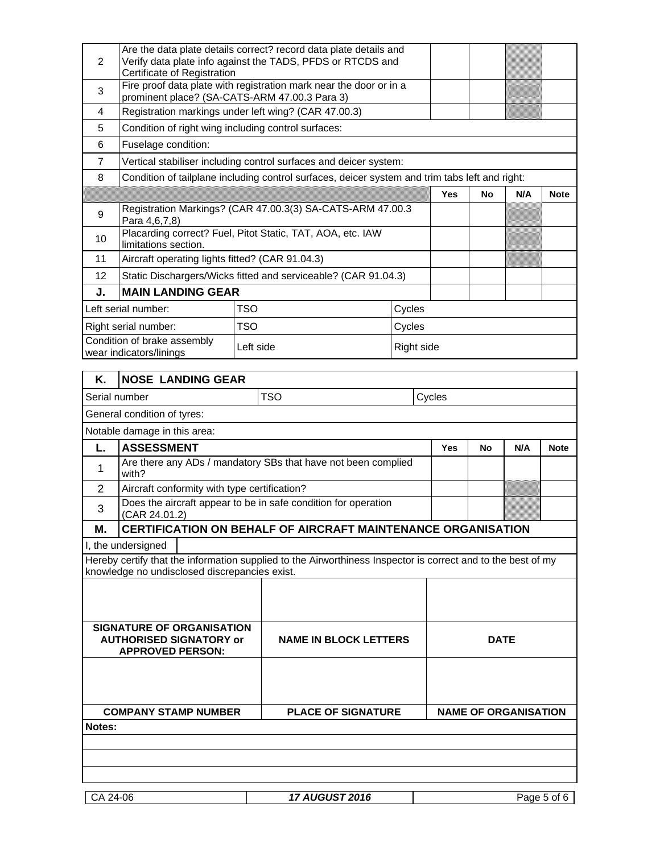| 2                                                                   | Are the data plate details correct? record data plate details and<br>Verify data plate info against the TADS, PFDS or RTCDS and<br>Certificate of Registration |            |                                                                                                              |            |        |             |                             |             |
|---------------------------------------------------------------------|----------------------------------------------------------------------------------------------------------------------------------------------------------------|------------|--------------------------------------------------------------------------------------------------------------|------------|--------|-------------|-----------------------------|-------------|
| 3                                                                   | Fire proof data plate with registration mark near the door or in a<br>prominent place? (SA-CATS-ARM 47.00.3 Para 3)                                            |            |                                                                                                              |            |        |             |                             |             |
| 4                                                                   | Registration markings under left wing? (CAR 47.00.3)                                                                                                           |            |                                                                                                              |            |        |             |                             |             |
| 5                                                                   | Condition of right wing including control surfaces:                                                                                                            |            |                                                                                                              |            |        |             |                             |             |
| 6                                                                   | Fuselage condition:                                                                                                                                            |            |                                                                                                              |            |        |             |                             |             |
| 7                                                                   |                                                                                                                                                                |            | Vertical stabiliser including control surfaces and deicer system:                                            |            |        |             |                             |             |
| 8                                                                   |                                                                                                                                                                |            | Condition of tailplane including control surfaces, deicer system and trim tabs left and right:               |            |        |             |                             |             |
|                                                                     |                                                                                                                                                                |            |                                                                                                              |            | Yes    | <b>No</b>   | N/A                         | <b>Note</b> |
| 9                                                                   | Para 4,6,7,8)                                                                                                                                                  |            | Registration Markings? (CAR 47.00.3(3) SA-CATS-ARM 47.00.3                                                   |            |        |             |                             |             |
| 10                                                                  | limitations section.                                                                                                                                           |            | Placarding correct? Fuel, Pitot Static, TAT, AOA, etc. IAW                                                   |            |        |             |                             |             |
| 11                                                                  | Aircraft operating lights fitted? (CAR 91.04.3)                                                                                                                |            |                                                                                                              |            |        |             |                             |             |
| 12                                                                  |                                                                                                                                                                |            | Static Dischargers/Wicks fitted and serviceable? (CAR 91.04.3)                                               |            |        |             |                             |             |
| J.                                                                  | <b>MAIN LANDING GEAR</b>                                                                                                                                       |            |                                                                                                              |            |        |             |                             |             |
|                                                                     | Left serial number:                                                                                                                                            | <b>TSO</b> |                                                                                                              | Cycles     |        |             |                             |             |
|                                                                     | Right serial number:                                                                                                                                           | <b>TSO</b> |                                                                                                              | Cycles     |        |             |                             |             |
| Condition of brake assembly<br>Left side<br>wear indicators/linings |                                                                                                                                                                |            |                                                                                                              | Right side |        |             |                             |             |
| <b>NOSE LANDING GEAR</b><br>Κ.                                      |                                                                                                                                                                |            |                                                                                                              |            |        |             |                             |             |
|                                                                     | Serial number                                                                                                                                                  |            | <b>TSO</b>                                                                                                   |            | Cycles |             |                             |             |
| General condition of tyres:                                         |                                                                                                                                                                |            |                                                                                                              |            |        |             |                             |             |
| Notable damage in this area:                                        |                                                                                                                                                                |            |                                                                                                              |            |        |             |                             |             |
|                                                                     |                                                                                                                                                                |            |                                                                                                              |            |        |             |                             |             |
| L.                                                                  | <b>ASSESSMENT</b>                                                                                                                                              |            |                                                                                                              |            | Yes    | No          | N/A                         | <b>Note</b> |
| 1                                                                   | with?                                                                                                                                                          |            | Are there any ADs / mandatory SBs that have not been complied                                                |            |        |             |                             |             |
| 2                                                                   | Aircraft conformity with type certification?                                                                                                                   |            |                                                                                                              |            |        |             |                             |             |
| 3                                                                   | (CAR 24.01.2)                                                                                                                                                  |            | Does the aircraft appear to be in safe condition for operation                                               |            |        |             |                             |             |
| Μ.                                                                  |                                                                                                                                                                |            | <b>CERTIFICATION ON BEHALF OF AIRCRAFT MAINTENANCE ORGANISATION</b>                                          |            |        |             |                             |             |
|                                                                     | I, the undersigned                                                                                                                                             |            |                                                                                                              |            |        |             |                             |             |
|                                                                     | knowledge no undisclosed discrepancies exist.                                                                                                                  |            | Hereby certify that the information supplied to the Airworthiness Inspector is correct and to the best of my |            |        |             |                             |             |
|                                                                     |                                                                                                                                                                |            |                                                                                                              |            |        |             |                             |             |
|                                                                     |                                                                                                                                                                |            |                                                                                                              |            |        |             |                             |             |
|                                                                     | SIGNATURE OF ORGANISATION                                                                                                                                      |            |                                                                                                              |            |        |             |                             |             |
|                                                                     | <b>AUTHORISED SIGNATORY or</b><br><b>APPROVED PERSON:</b>                                                                                                      |            | <b>NAME IN BLOCK LETTERS</b>                                                                                 |            |        | <b>DATE</b> |                             |             |
|                                                                     |                                                                                                                                                                |            |                                                                                                              |            |        |             |                             |             |
|                                                                     |                                                                                                                                                                |            |                                                                                                              |            |        |             |                             |             |
|                                                                     | <b>COMPANY STAMP NUMBER</b>                                                                                                                                    |            | <b>PLACE OF SIGNATURE</b>                                                                                    |            |        |             | <b>NAME OF ORGANISATION</b> |             |
| <b>Notes:</b>                                                       |                                                                                                                                                                |            |                                                                                                              |            |        |             |                             |             |
|                                                                     |                                                                                                                                                                |            |                                                                                                              |            |        |             |                             |             |
|                                                                     |                                                                                                                                                                |            |                                                                                                              |            |        |             |                             |             |

|  | CA 24-06 |  |  |
|--|----------|--|--|
|--|----------|--|--|